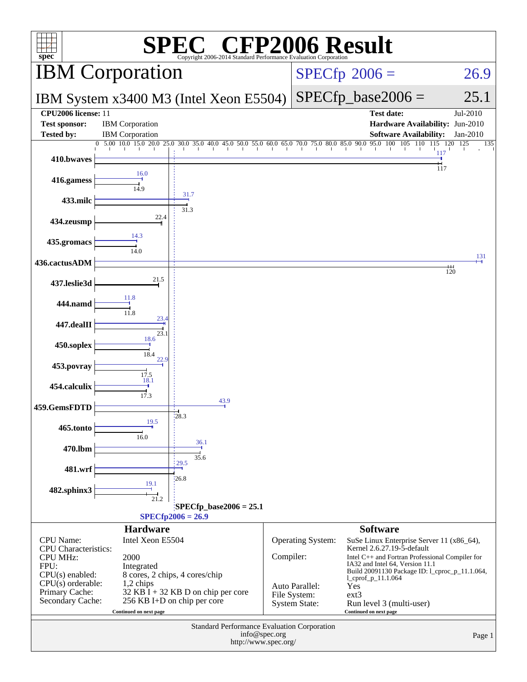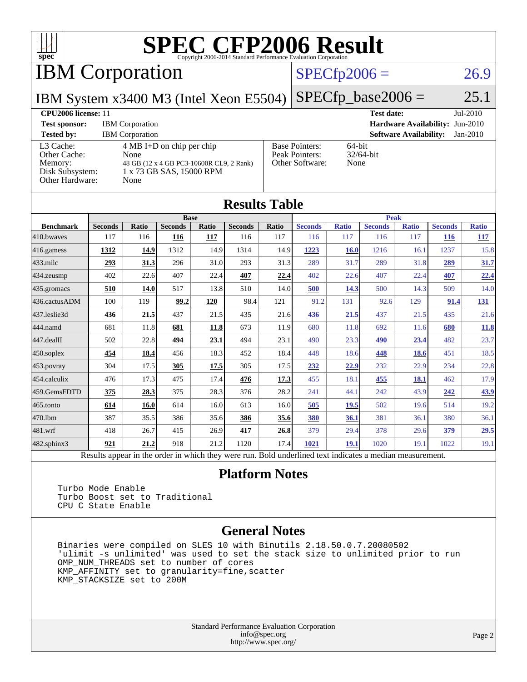

IBM Corporation

#### $SPECfp2006 = 26.9$  $SPECfp2006 = 26.9$

IBM System x3400 M3 (Intel Xeon E5504) [SPECfp\\_base2006 =](http://www.spec.org/auto/cpu2006/Docs/result-fields.html#SPECfpbase2006)  $25.1$ 

| <b>CPU2006 license: 11</b>                                                 |                                                                                                                             |                                                            | $Jul-2010$<br><b>Test date:</b>             |  |  |
|----------------------------------------------------------------------------|-----------------------------------------------------------------------------------------------------------------------------|------------------------------------------------------------|---------------------------------------------|--|--|
| <b>Test sponsor:</b>                                                       | <b>IBM</b> Corporation                                                                                                      | <b>Hardware Availability: Jun-2010</b>                     |                                             |  |  |
| <b>Tested by:</b>                                                          | <b>IBM</b> Corporation                                                                                                      |                                                            | <b>Software Availability:</b><br>$Jan-2010$ |  |  |
| L3 Cache:<br>Other Cache:<br>Memory:<br>Disk Subsystem:<br>Other Hardware: | $4 \text{ MB I+D}$ on chip per chip<br>None<br>48 GB (12 x 4 GB PC3-10600R CL9, 2 Rank)<br>1 x 73 GB SAS, 15000 RPM<br>None | <b>Base Pointers:</b><br>Peak Pointers:<br>Other Software: | $64$ -bit<br>$32/64$ -bit<br>None           |  |  |

| <b>Results Table</b> |                                                                                                          |       |                |       |                |             |                |              |                |              |                |              |
|----------------------|----------------------------------------------------------------------------------------------------------|-------|----------------|-------|----------------|-------------|----------------|--------------|----------------|--------------|----------------|--------------|
|                      | <b>Base</b>                                                                                              |       |                |       |                | <b>Peak</b> |                |              |                |              |                |              |
| <b>Benchmark</b>     | <b>Seconds</b>                                                                                           | Ratio | <b>Seconds</b> | Ratio | <b>Seconds</b> | Ratio       | <b>Seconds</b> | <b>Ratio</b> | <b>Seconds</b> | <b>Ratio</b> | <b>Seconds</b> | <b>Ratio</b> |
| 410.bwayes           | 117                                                                                                      | 116   | 116            | 117   | 116            | 117         | 116            | 117          | 116            | 117          | <b>116</b>     | <u>117</u>   |
| 416.gamess           | 1312                                                                                                     | 14.9  | 1312           | 14.9  | 1314           | 14.9        | 1223           | 16.0         | 1216           | 16.1         | 1237           | 15.8         |
| $433$ .milc          | 293                                                                                                      | 31.3  | 296            | 31.0  | 293            | 31.3        | 289            | 31.7         | 289            | 31.8         | 289            | 31.7         |
| $434$ . zeusmp       | 402                                                                                                      | 22.6  | 407            | 22.4  | 407            | 22.4        | 402            | 22.6         | 407            | 22.4         | 407            | 22.4         |
| $435.$ gromacs       | 510                                                                                                      | 14.0  | 517            | 13.8  | 510            | 14.0        | 500            | 14.3         | 500            | 14.3         | 509            | 14.0         |
| 436.cactusADM        | 100                                                                                                      | 119   | 99.2           | 120   | 98.4           | 121         | 91.2           | 131          | 92.6           | 129          | 91.4           | <u>131</u>   |
| 437.leslie3d         | 436                                                                                                      | 21.5  | 437            | 21.5  | 435            | 21.6        | 436            | 21.5         | 437            | 21.5         | 435            | 21.6         |
| 444.namd             | 681                                                                                                      | 11.8  | 681            | 11.8  | 673            | 11.9        | 680            | 11.8         | 692            | 11.6         | 680            | 11.8         |
| 447.dealII           | 502                                                                                                      | 22.8  | 494            | 23.1  | 494            | 23.1        | 490            | 23.3         | 490            | 23.4         | 482            | 23.7         |
| $450$ .soplex        | 454                                                                                                      | 18.4  | 456            | 18.3  | 452            | 18.4        | 448            | 18.6         | 448            | 18.6         | 451            | 18.5         |
| $453$ .povray        | 304                                                                                                      | 17.5  | 305            | 17.5  | 305            | 17.5        | 232            | 22.9         | 232            | 22.9         | 234            | 22.8         |
| $454$ .calculix      | 476                                                                                                      | 17.3  | 475            | 17.4  | 476            | 17.3        | 455            | 18.1         | 455            | 18.1         | 462            | 17.9         |
| 459.GemsFDTD         | 375                                                                                                      | 28.3  | 375            | 28.3  | 376            | 28.2        | 241            | 44.1         | 242            | 43.9         | 242            | 43.9         |
| $465$ .tonto         | 614                                                                                                      | 16.0  | 614            | 16.0  | 613            | 16.0        | 505            | 19.5         | 502            | 19.6         | 514            | 19.2         |
| 470.1bm              | 387                                                                                                      | 35.5  | 386            | 35.6  | 386            | 35.6        | 380            | 36.1         | 381            | 36.1         | 380            | 36.1         |
| $481$ .wrf           | 418                                                                                                      | 26.7  | 415            | 26.9  | 417            | 26.8        | 379            | 29.4         | 378            | 29.6         | 379            | 29.5         |
| 482.sphinx3          | 921                                                                                                      | 21.2  | 918            | 21.2  | 1120           | 17.4        | 1021           | 19.1         | 1020           | 19.1         | 1022           | 19.1         |
|                      | Results appear in the order in which they were run. Bold underlined text indicates a median measurement. |       |                |       |                |             |                |              |                |              |                |              |

#### **[Platform Notes](http://www.spec.org/auto/cpu2006/Docs/result-fields.html#PlatformNotes)**

 Turbo Mode Enable Turbo Boost set to Traditional CPU C State Enable

#### **[General Notes](http://www.spec.org/auto/cpu2006/Docs/result-fields.html#GeneralNotes)**

 Binaries were compiled on SLES 10 with Binutils 2.18.50.0.7.20080502 'ulimit -s unlimited' was used to set the stack size to unlimited prior to run OMP\_NUM\_THREADS set to number of cores KMP\_AFFINITY set to granularity=fine,scatter KMP\_STACKSIZE set to 200M

> Standard Performance Evaluation Corporation [info@spec.org](mailto:info@spec.org) <http://www.spec.org/>

#### Page 2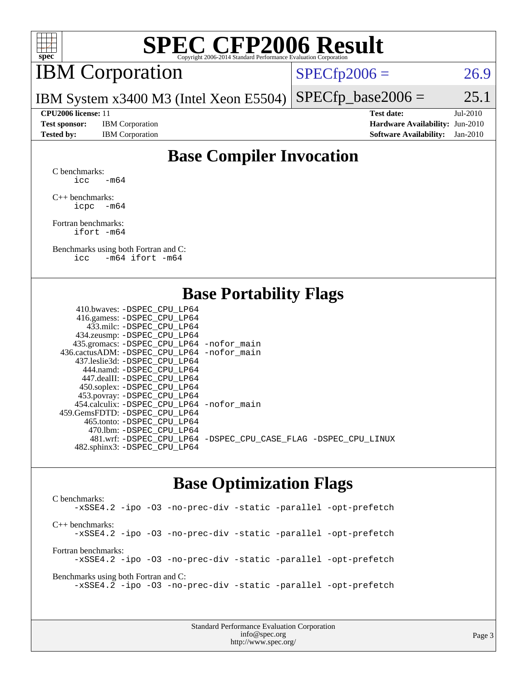

## IBM Corporation

 $SPECTp2006 = 26.9$ 

IBM System x3400 M3 (Intel Xeon E5504)  $SPECTp\_base2006 = 25.1$ 

**[Test sponsor:](http://www.spec.org/auto/cpu2006/Docs/result-fields.html#Testsponsor)** IBM Corporation **[Hardware Availability:](http://www.spec.org/auto/cpu2006/Docs/result-fields.html#HardwareAvailability)** Jun-2010

**[CPU2006 license:](http://www.spec.org/auto/cpu2006/Docs/result-fields.html#CPU2006license)** 11 **[Test date:](http://www.spec.org/auto/cpu2006/Docs/result-fields.html#Testdate)** Jul-2010 **[Tested by:](http://www.spec.org/auto/cpu2006/Docs/result-fields.html#Testedby)** IBM Corporation **[Software Availability:](http://www.spec.org/auto/cpu2006/Docs/result-fields.html#SoftwareAvailability)** Jan-2010

#### **[Base Compiler Invocation](http://www.spec.org/auto/cpu2006/Docs/result-fields.html#BaseCompilerInvocation)**

[C benchmarks](http://www.spec.org/auto/cpu2006/Docs/result-fields.html#Cbenchmarks): icc  $-m64$ 

[C++ benchmarks:](http://www.spec.org/auto/cpu2006/Docs/result-fields.html#CXXbenchmarks) [icpc -m64](http://www.spec.org/cpu2006/results/res2010q3/cpu2006-20100719-12499.flags.html#user_CXXbase_intel_icpc_64bit_bedb90c1146cab66620883ef4f41a67e)

[Fortran benchmarks](http://www.spec.org/auto/cpu2006/Docs/result-fields.html#Fortranbenchmarks): [ifort -m64](http://www.spec.org/cpu2006/results/res2010q3/cpu2006-20100719-12499.flags.html#user_FCbase_intel_ifort_64bit_ee9d0fb25645d0210d97eb0527dcc06e)

[Benchmarks using both Fortran and C](http://www.spec.org/auto/cpu2006/Docs/result-fields.html#BenchmarksusingbothFortranandC): [icc -m64](http://www.spec.org/cpu2006/results/res2010q3/cpu2006-20100719-12499.flags.html#user_CC_FCbase_intel_icc_64bit_0b7121f5ab7cfabee23d88897260401c) [ifort -m64](http://www.spec.org/cpu2006/results/res2010q3/cpu2006-20100719-12499.flags.html#user_CC_FCbase_intel_ifort_64bit_ee9d0fb25645d0210d97eb0527dcc06e)

#### **[Base Portability Flags](http://www.spec.org/auto/cpu2006/Docs/result-fields.html#BasePortabilityFlags)**

| 410.bwaves: -DSPEC CPU LP64                  |                                                                |
|----------------------------------------------|----------------------------------------------------------------|
| 416.gamess: - DSPEC_CPU_LP64                 |                                                                |
| 433.milc: -DSPEC CPU LP64                    |                                                                |
| 434.zeusmp: -DSPEC_CPU_LP64                  |                                                                |
| 435.gromacs: -DSPEC_CPU_LP64 -nofor_main     |                                                                |
| 436.cactusADM: - DSPEC CPU LP64 - nofor main |                                                                |
| 437.leslie3d: -DSPEC CPU LP64                |                                                                |
| 444.namd: - DSPEC CPU LP64                   |                                                                |
| 447.dealII: - DSPEC CPU LP64                 |                                                                |
| 450.soplex: -DSPEC_CPU_LP64                  |                                                                |
| 453.povray: -DSPEC_CPU_LP64                  |                                                                |
| 454.calculix: - DSPEC CPU LP64 - nofor main  |                                                                |
| 459.GemsFDTD: -DSPEC CPU LP64                |                                                                |
| 465.tonto: - DSPEC CPU LP64                  |                                                                |
| 470.1bm: - DSPEC CPU LP64                    |                                                                |
|                                              | 481.wrf: -DSPEC_CPU_LP64 -DSPEC_CPU_CASE_FLAG -DSPEC_CPU_LINUX |
| 482.sphinx3: -DSPEC_CPU_LP64                 |                                                                |
|                                              |                                                                |

#### **[Base Optimization Flags](http://www.spec.org/auto/cpu2006/Docs/result-fields.html#BaseOptimizationFlags)**

[C benchmarks](http://www.spec.org/auto/cpu2006/Docs/result-fields.html#Cbenchmarks): [-xSSE4.2](http://www.spec.org/cpu2006/results/res2010q3/cpu2006-20100719-12499.flags.html#user_CCbase_f-xSSE42_f91528193cf0b216347adb8b939d4107) [-ipo](http://www.spec.org/cpu2006/results/res2010q3/cpu2006-20100719-12499.flags.html#user_CCbase_f-ipo) [-O3](http://www.spec.org/cpu2006/results/res2010q3/cpu2006-20100719-12499.flags.html#user_CCbase_f-O3) [-no-prec-div](http://www.spec.org/cpu2006/results/res2010q3/cpu2006-20100719-12499.flags.html#user_CCbase_f-no-prec-div) [-static](http://www.spec.org/cpu2006/results/res2010q3/cpu2006-20100719-12499.flags.html#user_CCbase_f-static) [-parallel](http://www.spec.org/cpu2006/results/res2010q3/cpu2006-20100719-12499.flags.html#user_CCbase_f-parallel) [-opt-prefetch](http://www.spec.org/cpu2006/results/res2010q3/cpu2006-20100719-12499.flags.html#user_CCbase_f-opt-prefetch) [C++ benchmarks:](http://www.spec.org/auto/cpu2006/Docs/result-fields.html#CXXbenchmarks) [-xSSE4.2](http://www.spec.org/cpu2006/results/res2010q3/cpu2006-20100719-12499.flags.html#user_CXXbase_f-xSSE42_f91528193cf0b216347adb8b939d4107) [-ipo](http://www.spec.org/cpu2006/results/res2010q3/cpu2006-20100719-12499.flags.html#user_CXXbase_f-ipo) [-O3](http://www.spec.org/cpu2006/results/res2010q3/cpu2006-20100719-12499.flags.html#user_CXXbase_f-O3) [-no-prec-div](http://www.spec.org/cpu2006/results/res2010q3/cpu2006-20100719-12499.flags.html#user_CXXbase_f-no-prec-div) [-static](http://www.spec.org/cpu2006/results/res2010q3/cpu2006-20100719-12499.flags.html#user_CXXbase_f-static) [-parallel](http://www.spec.org/cpu2006/results/res2010q3/cpu2006-20100719-12499.flags.html#user_CXXbase_f-parallel) [-opt-prefetch](http://www.spec.org/cpu2006/results/res2010q3/cpu2006-20100719-12499.flags.html#user_CXXbase_f-opt-prefetch) [Fortran benchmarks](http://www.spec.org/auto/cpu2006/Docs/result-fields.html#Fortranbenchmarks): [-xSSE4.2](http://www.spec.org/cpu2006/results/res2010q3/cpu2006-20100719-12499.flags.html#user_FCbase_f-xSSE42_f91528193cf0b216347adb8b939d4107) [-ipo](http://www.spec.org/cpu2006/results/res2010q3/cpu2006-20100719-12499.flags.html#user_FCbase_f-ipo) [-O3](http://www.spec.org/cpu2006/results/res2010q3/cpu2006-20100719-12499.flags.html#user_FCbase_f-O3) [-no-prec-div](http://www.spec.org/cpu2006/results/res2010q3/cpu2006-20100719-12499.flags.html#user_FCbase_f-no-prec-div) [-static](http://www.spec.org/cpu2006/results/res2010q3/cpu2006-20100719-12499.flags.html#user_FCbase_f-static) [-parallel](http://www.spec.org/cpu2006/results/res2010q3/cpu2006-20100719-12499.flags.html#user_FCbase_f-parallel) [-opt-prefetch](http://www.spec.org/cpu2006/results/res2010q3/cpu2006-20100719-12499.flags.html#user_FCbase_f-opt-prefetch) [Benchmarks using both Fortran and C](http://www.spec.org/auto/cpu2006/Docs/result-fields.html#BenchmarksusingbothFortranandC): [-xSSE4.2](http://www.spec.org/cpu2006/results/res2010q3/cpu2006-20100719-12499.flags.html#user_CC_FCbase_f-xSSE42_f91528193cf0b216347adb8b939d4107) [-ipo](http://www.spec.org/cpu2006/results/res2010q3/cpu2006-20100719-12499.flags.html#user_CC_FCbase_f-ipo) [-O3](http://www.spec.org/cpu2006/results/res2010q3/cpu2006-20100719-12499.flags.html#user_CC_FCbase_f-O3) [-no-prec-div](http://www.spec.org/cpu2006/results/res2010q3/cpu2006-20100719-12499.flags.html#user_CC_FCbase_f-no-prec-div) [-static](http://www.spec.org/cpu2006/results/res2010q3/cpu2006-20100719-12499.flags.html#user_CC_FCbase_f-static) [-parallel](http://www.spec.org/cpu2006/results/res2010q3/cpu2006-20100719-12499.flags.html#user_CC_FCbase_f-parallel) [-opt-prefetch](http://www.spec.org/cpu2006/results/res2010q3/cpu2006-20100719-12499.flags.html#user_CC_FCbase_f-opt-prefetch)

> Standard Performance Evaluation Corporation [info@spec.org](mailto:info@spec.org) <http://www.spec.org/>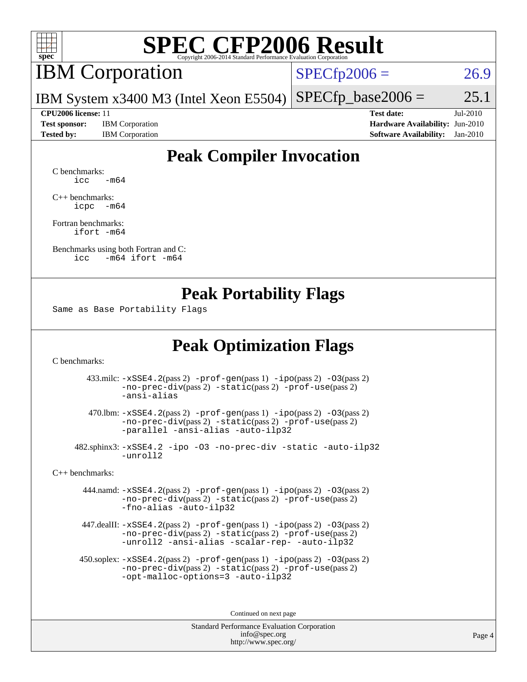

### IBM Corporation

 $SPECfp2006 = 26.9$  $SPECfp2006 = 26.9$ 

IBM System x3400 M3 (Intel Xeon E5504)  $SPECTp\_base2006 = 25.1$ 

**[Test sponsor:](http://www.spec.org/auto/cpu2006/Docs/result-fields.html#Testsponsor)** IBM Corporation **[Hardware Availability:](http://www.spec.org/auto/cpu2006/Docs/result-fields.html#HardwareAvailability)** Jun-2010 **[Tested by:](http://www.spec.org/auto/cpu2006/Docs/result-fields.html#Testedby)** IBM Corporation **[Software Availability:](http://www.spec.org/auto/cpu2006/Docs/result-fields.html#SoftwareAvailability)** Jan-2010

**[CPU2006 license:](http://www.spec.org/auto/cpu2006/Docs/result-fields.html#CPU2006license)** 11 **[Test date:](http://www.spec.org/auto/cpu2006/Docs/result-fields.html#Testdate)** Jul-2010

### **[Peak Compiler Invocation](http://www.spec.org/auto/cpu2006/Docs/result-fields.html#PeakCompilerInvocation)**

[C benchmarks](http://www.spec.org/auto/cpu2006/Docs/result-fields.html#Cbenchmarks):  $\text{icc}$   $-\text{m64}$ 

[C++ benchmarks:](http://www.spec.org/auto/cpu2006/Docs/result-fields.html#CXXbenchmarks) [icpc -m64](http://www.spec.org/cpu2006/results/res2010q3/cpu2006-20100719-12499.flags.html#user_CXXpeak_intel_icpc_64bit_bedb90c1146cab66620883ef4f41a67e)

[Fortran benchmarks](http://www.spec.org/auto/cpu2006/Docs/result-fields.html#Fortranbenchmarks): [ifort -m64](http://www.spec.org/cpu2006/results/res2010q3/cpu2006-20100719-12499.flags.html#user_FCpeak_intel_ifort_64bit_ee9d0fb25645d0210d97eb0527dcc06e)

[Benchmarks using both Fortran and C](http://www.spec.org/auto/cpu2006/Docs/result-fields.html#BenchmarksusingbothFortranandC): [icc -m64](http://www.spec.org/cpu2006/results/res2010q3/cpu2006-20100719-12499.flags.html#user_CC_FCpeak_intel_icc_64bit_0b7121f5ab7cfabee23d88897260401c) [ifort -m64](http://www.spec.org/cpu2006/results/res2010q3/cpu2006-20100719-12499.flags.html#user_CC_FCpeak_intel_ifort_64bit_ee9d0fb25645d0210d97eb0527dcc06e)

#### **[Peak Portability Flags](http://www.spec.org/auto/cpu2006/Docs/result-fields.html#PeakPortabilityFlags)**

Same as Base Portability Flags

#### **[Peak Optimization Flags](http://www.spec.org/auto/cpu2006/Docs/result-fields.html#PeakOptimizationFlags)**

[C benchmarks](http://www.spec.org/auto/cpu2006/Docs/result-fields.html#Cbenchmarks):

 433.milc: [-xSSE4.2](http://www.spec.org/cpu2006/results/res2010q3/cpu2006-20100719-12499.flags.html#user_peakPASS2_CFLAGSPASS2_LDFLAGS433_milc_f-xSSE42_f91528193cf0b216347adb8b939d4107)(pass 2) [-prof-gen](http://www.spec.org/cpu2006/results/res2010q3/cpu2006-20100719-12499.flags.html#user_peakPASS1_CFLAGSPASS1_LDFLAGS433_milc_prof_gen_e43856698f6ca7b7e442dfd80e94a8fc)(pass 1) [-ipo](http://www.spec.org/cpu2006/results/res2010q3/cpu2006-20100719-12499.flags.html#user_peakPASS2_CFLAGSPASS2_LDFLAGS433_milc_f-ipo)(pass 2) [-O3](http://www.spec.org/cpu2006/results/res2010q3/cpu2006-20100719-12499.flags.html#user_peakPASS2_CFLAGSPASS2_LDFLAGS433_milc_f-O3)(pass 2) [-no-prec-div](http://www.spec.org/cpu2006/results/res2010q3/cpu2006-20100719-12499.flags.html#user_peakPASS2_CFLAGSPASS2_LDFLAGS433_milc_f-no-prec-div)(pass 2) [-static](http://www.spec.org/cpu2006/results/res2010q3/cpu2006-20100719-12499.flags.html#user_peakPASS2_CFLAGSPASS2_LDFLAGS433_milc_f-static)(pass 2) [-prof-use](http://www.spec.org/cpu2006/results/res2010q3/cpu2006-20100719-12499.flags.html#user_peakPASS2_CFLAGSPASS2_LDFLAGS433_milc_prof_use_bccf7792157ff70d64e32fe3e1250b55)(pass 2) [-ansi-alias](http://www.spec.org/cpu2006/results/res2010q3/cpu2006-20100719-12499.flags.html#user_peakOPTIMIZE433_milc_f-ansi-alias)

 470.lbm: [-xSSE4.2](http://www.spec.org/cpu2006/results/res2010q3/cpu2006-20100719-12499.flags.html#user_peakPASS2_CFLAGSPASS2_LDFLAGS470_lbm_f-xSSE42_f91528193cf0b216347adb8b939d4107)(pass 2) [-prof-gen](http://www.spec.org/cpu2006/results/res2010q3/cpu2006-20100719-12499.flags.html#user_peakPASS1_CFLAGSPASS1_LDFLAGS470_lbm_prof_gen_e43856698f6ca7b7e442dfd80e94a8fc)(pass 1) [-ipo](http://www.spec.org/cpu2006/results/res2010q3/cpu2006-20100719-12499.flags.html#user_peakPASS2_CFLAGSPASS2_LDFLAGS470_lbm_f-ipo)(pass 2) [-O3](http://www.spec.org/cpu2006/results/res2010q3/cpu2006-20100719-12499.flags.html#user_peakPASS2_CFLAGSPASS2_LDFLAGS470_lbm_f-O3)(pass 2) [-no-prec-div](http://www.spec.org/cpu2006/results/res2010q3/cpu2006-20100719-12499.flags.html#user_peakPASS2_CFLAGSPASS2_LDFLAGS470_lbm_f-no-prec-div)(pass 2) [-static](http://www.spec.org/cpu2006/results/res2010q3/cpu2006-20100719-12499.flags.html#user_peakPASS2_CFLAGSPASS2_LDFLAGS470_lbm_f-static)(pass 2) [-prof-use](http://www.spec.org/cpu2006/results/res2010q3/cpu2006-20100719-12499.flags.html#user_peakPASS2_CFLAGSPASS2_LDFLAGS470_lbm_prof_use_bccf7792157ff70d64e32fe3e1250b55)(pass 2) [-parallel](http://www.spec.org/cpu2006/results/res2010q3/cpu2006-20100719-12499.flags.html#user_peakOPTIMIZE470_lbm_f-parallel) [-ansi-alias](http://www.spec.org/cpu2006/results/res2010q3/cpu2006-20100719-12499.flags.html#user_peakOPTIMIZE470_lbm_f-ansi-alias) [-auto-ilp32](http://www.spec.org/cpu2006/results/res2010q3/cpu2006-20100719-12499.flags.html#user_peakCOPTIMIZE470_lbm_f-auto-ilp32)

 482.sphinx3: [-xSSE4.2](http://www.spec.org/cpu2006/results/res2010q3/cpu2006-20100719-12499.flags.html#user_peakOPTIMIZE482_sphinx3_f-xSSE42_f91528193cf0b216347adb8b939d4107) [-ipo](http://www.spec.org/cpu2006/results/res2010q3/cpu2006-20100719-12499.flags.html#user_peakOPTIMIZE482_sphinx3_f-ipo) [-O3](http://www.spec.org/cpu2006/results/res2010q3/cpu2006-20100719-12499.flags.html#user_peakOPTIMIZE482_sphinx3_f-O3) [-no-prec-div](http://www.spec.org/cpu2006/results/res2010q3/cpu2006-20100719-12499.flags.html#user_peakOPTIMIZE482_sphinx3_f-no-prec-div) [-static](http://www.spec.org/cpu2006/results/res2010q3/cpu2006-20100719-12499.flags.html#user_peakOPTIMIZE482_sphinx3_f-static) [-auto-ilp32](http://www.spec.org/cpu2006/results/res2010q3/cpu2006-20100719-12499.flags.html#user_peakCOPTIMIZE482_sphinx3_f-auto-ilp32) [-unroll2](http://www.spec.org/cpu2006/results/res2010q3/cpu2006-20100719-12499.flags.html#user_peakCOPTIMIZE482_sphinx3_f-unroll_784dae83bebfb236979b41d2422d7ec2)

[C++ benchmarks:](http://www.spec.org/auto/cpu2006/Docs/result-fields.html#CXXbenchmarks)

 444.namd: [-xSSE4.2](http://www.spec.org/cpu2006/results/res2010q3/cpu2006-20100719-12499.flags.html#user_peakPASS2_CXXFLAGSPASS2_LDFLAGS444_namd_f-xSSE42_f91528193cf0b216347adb8b939d4107)(pass 2) [-prof-gen](http://www.spec.org/cpu2006/results/res2010q3/cpu2006-20100719-12499.flags.html#user_peakPASS1_CXXFLAGSPASS1_LDFLAGS444_namd_prof_gen_e43856698f6ca7b7e442dfd80e94a8fc)(pass 1) [-ipo](http://www.spec.org/cpu2006/results/res2010q3/cpu2006-20100719-12499.flags.html#user_peakPASS2_CXXFLAGSPASS2_LDFLAGS444_namd_f-ipo)(pass 2) [-O3](http://www.spec.org/cpu2006/results/res2010q3/cpu2006-20100719-12499.flags.html#user_peakPASS2_CXXFLAGSPASS2_LDFLAGS444_namd_f-O3)(pass 2) [-no-prec-div](http://www.spec.org/cpu2006/results/res2010q3/cpu2006-20100719-12499.flags.html#user_peakPASS2_CXXFLAGSPASS2_LDFLAGS444_namd_f-no-prec-div)(pass 2) [-static](http://www.spec.org/cpu2006/results/res2010q3/cpu2006-20100719-12499.flags.html#user_peakPASS2_CXXFLAGSPASS2_LDFLAGS444_namd_f-static)(pass 2) [-prof-use](http://www.spec.org/cpu2006/results/res2010q3/cpu2006-20100719-12499.flags.html#user_peakPASS2_CXXFLAGSPASS2_LDFLAGS444_namd_prof_use_bccf7792157ff70d64e32fe3e1250b55)(pass 2) [-fno-alias](http://www.spec.org/cpu2006/results/res2010q3/cpu2006-20100719-12499.flags.html#user_peakOPTIMIZE444_namd_f-no-alias_694e77f6c5a51e658e82ccff53a9e63a) [-auto-ilp32](http://www.spec.org/cpu2006/results/res2010q3/cpu2006-20100719-12499.flags.html#user_peakCXXOPTIMIZE444_namd_f-auto-ilp32)

 447.dealII: [-xSSE4.2](http://www.spec.org/cpu2006/results/res2010q3/cpu2006-20100719-12499.flags.html#user_peakPASS2_CXXFLAGSPASS2_LDFLAGS447_dealII_f-xSSE42_f91528193cf0b216347adb8b939d4107)(pass 2) [-prof-gen](http://www.spec.org/cpu2006/results/res2010q3/cpu2006-20100719-12499.flags.html#user_peakPASS1_CXXFLAGSPASS1_LDFLAGS447_dealII_prof_gen_e43856698f6ca7b7e442dfd80e94a8fc)(pass 1) [-ipo](http://www.spec.org/cpu2006/results/res2010q3/cpu2006-20100719-12499.flags.html#user_peakPASS2_CXXFLAGSPASS2_LDFLAGS447_dealII_f-ipo)(pass 2) [-O3](http://www.spec.org/cpu2006/results/res2010q3/cpu2006-20100719-12499.flags.html#user_peakPASS2_CXXFLAGSPASS2_LDFLAGS447_dealII_f-O3)(pass 2) [-no-prec-div](http://www.spec.org/cpu2006/results/res2010q3/cpu2006-20100719-12499.flags.html#user_peakPASS2_CXXFLAGSPASS2_LDFLAGS447_dealII_f-no-prec-div)(pass 2) [-static](http://www.spec.org/cpu2006/results/res2010q3/cpu2006-20100719-12499.flags.html#user_peakPASS2_CXXFLAGSPASS2_LDFLAGS447_dealII_f-static)(pass 2) [-prof-use](http://www.spec.org/cpu2006/results/res2010q3/cpu2006-20100719-12499.flags.html#user_peakPASS2_CXXFLAGSPASS2_LDFLAGS447_dealII_prof_use_bccf7792157ff70d64e32fe3e1250b55)(pass 2) [-unroll2](http://www.spec.org/cpu2006/results/res2010q3/cpu2006-20100719-12499.flags.html#user_peakOPTIMIZE447_dealII_f-unroll_784dae83bebfb236979b41d2422d7ec2) [-ansi-alias](http://www.spec.org/cpu2006/results/res2010q3/cpu2006-20100719-12499.flags.html#user_peakOPTIMIZE447_dealII_f-ansi-alias) [-scalar-rep-](http://www.spec.org/cpu2006/results/res2010q3/cpu2006-20100719-12499.flags.html#user_peakOPTIMIZE447_dealII_f-disablescalarrep_abbcad04450fb118e4809c81d83c8a1d) [-auto-ilp32](http://www.spec.org/cpu2006/results/res2010q3/cpu2006-20100719-12499.flags.html#user_peakCXXOPTIMIZE447_dealII_f-auto-ilp32)

 450.soplex: [-xSSE4.2](http://www.spec.org/cpu2006/results/res2010q3/cpu2006-20100719-12499.flags.html#user_peakPASS2_CXXFLAGSPASS2_LDFLAGS450_soplex_f-xSSE42_f91528193cf0b216347adb8b939d4107)(pass 2) [-prof-gen](http://www.spec.org/cpu2006/results/res2010q3/cpu2006-20100719-12499.flags.html#user_peakPASS1_CXXFLAGSPASS1_LDFLAGS450_soplex_prof_gen_e43856698f6ca7b7e442dfd80e94a8fc)(pass 1) [-ipo](http://www.spec.org/cpu2006/results/res2010q3/cpu2006-20100719-12499.flags.html#user_peakPASS2_CXXFLAGSPASS2_LDFLAGS450_soplex_f-ipo)(pass 2) [-O3](http://www.spec.org/cpu2006/results/res2010q3/cpu2006-20100719-12499.flags.html#user_peakPASS2_CXXFLAGSPASS2_LDFLAGS450_soplex_f-O3)(pass 2) [-no-prec-div](http://www.spec.org/cpu2006/results/res2010q3/cpu2006-20100719-12499.flags.html#user_peakPASS2_CXXFLAGSPASS2_LDFLAGS450_soplex_f-no-prec-div)(pass 2) [-static](http://www.spec.org/cpu2006/results/res2010q3/cpu2006-20100719-12499.flags.html#user_peakPASS2_CXXFLAGSPASS2_LDFLAGS450_soplex_f-static)(pass 2) [-prof-use](http://www.spec.org/cpu2006/results/res2010q3/cpu2006-20100719-12499.flags.html#user_peakPASS2_CXXFLAGSPASS2_LDFLAGS450_soplex_prof_use_bccf7792157ff70d64e32fe3e1250b55)(pass 2) [-opt-malloc-options=3](http://www.spec.org/cpu2006/results/res2010q3/cpu2006-20100719-12499.flags.html#user_peakOPTIMIZE450_soplex_f-opt-malloc-options_13ab9b803cf986b4ee62f0a5998c2238) [-auto-ilp32](http://www.spec.org/cpu2006/results/res2010q3/cpu2006-20100719-12499.flags.html#user_peakCXXOPTIMIZE450_soplex_f-auto-ilp32)

Continued on next page

Standard Performance Evaluation Corporation [info@spec.org](mailto:info@spec.org) <http://www.spec.org/>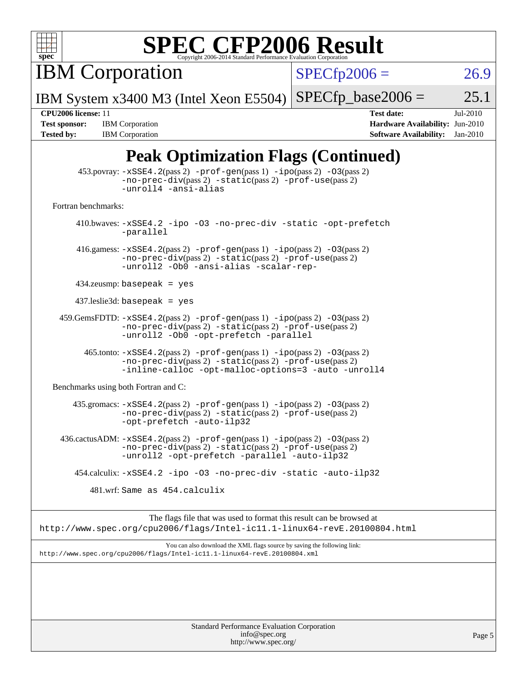

IBM Corporation

 $SPECfp2006 = 26.9$  $SPECfp2006 = 26.9$ 

IBM System x3400 M3 (Intel Xeon E5504)  $SPECTp\_base2006 = 25.1$ 

**[Tested by:](http://www.spec.org/auto/cpu2006/Docs/result-fields.html#Testedby)** IBM Corporation **[Software Availability:](http://www.spec.org/auto/cpu2006/Docs/result-fields.html#SoftwareAvailability)** Jan-2010

**[CPU2006 license:](http://www.spec.org/auto/cpu2006/Docs/result-fields.html#CPU2006license)** 11 **[Test date:](http://www.spec.org/auto/cpu2006/Docs/result-fields.html#Testdate)** Jul-2010 **[Test sponsor:](http://www.spec.org/auto/cpu2006/Docs/result-fields.html#Testsponsor)** IBM Corporation **[Hardware Availability:](http://www.spec.org/auto/cpu2006/Docs/result-fields.html#HardwareAvailability)** Jun-2010

### **[Peak Optimization Flags \(Continued\)](http://www.spec.org/auto/cpu2006/Docs/result-fields.html#PeakOptimizationFlags)**

|                                      | $453.$ povray: $-xSSE4.2(pass2)$ -prof-gen $(pass1)$ -ipo $(pass2)$ -03 $(pass2)$<br>$-no-prec-div(pass 2) -static(pass 2) -prof-use(pass 2)$<br>-unroll4 -ansi-alias                     |
|--------------------------------------|-------------------------------------------------------------------------------------------------------------------------------------------------------------------------------------------|
| Fortran benchmarks:                  |                                                                                                                                                                                           |
|                                      | 410.bwaves: -xSSE4.2 -ipo -03 -no-prec-div -static -opt-prefetch<br>-parallel                                                                                                             |
|                                      | 416.gamess: $-xSSE4$ . $2(pass 2)$ -prof-gen(pass 1) -ipo(pass 2) -03(pass 2)<br>$-no-prec-div(pass 2) -static(pass 2) -prof-use(pass 2)$<br>-unroll2 -0b0 -ansi-alias -scalar-rep-       |
|                                      | $434$ .zeusmp: basepeak = yes                                                                                                                                                             |
|                                      | $437$ leslie3d: basepeak = yes                                                                                                                                                            |
|                                      | $459.GemsFDTD: -xSSE4.2(pass 2) -prof-gen(pass 1) -ipo(pass 2) -03(pass 2)$<br>$-no-prec-div(pass 2) -static(pass 2) -prof-use(pass 2)$<br>-unroll2 -Ob0 -opt-prefetch -parallel          |
|                                      | 465.tonto: -xSSE4.2(pass 2) -prof-gen(pass 1) -ipo(pass 2) -03(pass 2)<br>$-no-prec-div(pass 2) -static(pass 2) -prof-use(pass 2)$<br>-inline-calloc -opt-malloc-options=3 -auto -unroll4 |
| Benchmarks using both Fortran and C: |                                                                                                                                                                                           |
|                                      | 435.gromacs: -xSSE4.2(pass 2) -prof-gen(pass 1) -ipo(pass 2) -03(pass 2)<br>-no-prec-div(pass 2) -static(pass 2) -prof-use(pass 2)<br>-opt-prefetch -auto-ilp32                           |
|                                      | $436.cactusADM: -xSSE4.2(pass 2) -prof-gen(pass 1) -ipo(pass 2) -03(pass 2)$<br>-no-prec-div(pass 2) -static(pass 2) -prof-use(pass 2)<br>-unroll2 -opt-prefetch -parallel -auto-ilp32    |
|                                      | 454.calculix: -xSSE4.2 -ipo -03 -no-prec-div -static -auto-ilp32                                                                                                                          |
|                                      | 481.wrf: Same as 454.calculix                                                                                                                                                             |
|                                      | The flags file that was used to format this result can be browsed at                                                                                                                      |
|                                      | http://www.spec.org/cpu2006/flags/Intel-ic11.1-linux64-revE.20100804.html                                                                                                                 |
|                                      | You can also download the XML flags source by saving the following link:<br>http://www.spec.org/cpu2006/flags/Intel-ic11.1-linux64-revE.20100804.xml                                      |
|                                      |                                                                                                                                                                                           |
|                                      |                                                                                                                                                                                           |
|                                      |                                                                                                                                                                                           |
|                                      |                                                                                                                                                                                           |
|                                      | Standard Darformange Evaluation Corneration                                                                                                                                               |